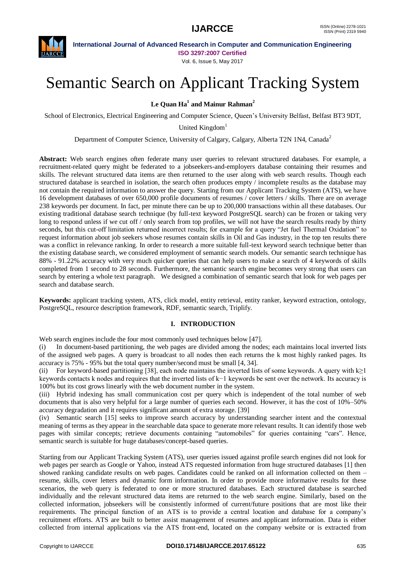

Vol. 6, Issue 5, May 2017

# Semantic Search on Applicant Tracking System

**Le Quan Ha<sup>1</sup> and Mainur Rahman<sup>2</sup>**

School of Electronics, Electrical Engineering and Computer Science, Queen"s University Belfast, Belfast BT3 9DT,

United Kingdom<sup>1</sup>

Department of Computer Science, University of Calgary, Calgary, Alberta T2N 1N4, Canada<sup>2</sup>

**Abstract:** Web search engines often federate many user queries to relevant structured databases. For example, a recruitment-related query might be federated to a jobseekers-and-employers database containing their resumes and skills. The relevant structured data items are then returned to the user along with web search results. Though each structured database is searched in isolation, the search often produces empty / incomplete results as the database may not contain the required information to answer the query. Starting from our Applicant Tracking System (ATS), we have 16 development databases of over 650,000 profile documents of resumes / cover letters / skills. There are on average 238 keywords per document. In fact, per minute there can be up to 200,000 transactions within all these databases. Our existing traditional database search technique (by full-text keyword PostgreSQL search) can be frozen or taking very long to respond unless if we cut off / only search from top profiles, we will not have the search results ready by thirty seconds, but this cut-off limitation returned incorrect results; for example for a query "Jet fuel Thermal Oxidation" to request information about job seekers whose resumes contain skills in Oil and Gas industry, in the top ten results there was a conflict in relevance ranking. In order to research a more suitable full-text keyword search technique better than the existing database search, we considered employment of semantic search models. Our semantic search technique has 88% - 91.22% accuracy with very much quicker queries that can help users to make a search of 4 keywords of skills completed from 1 second to 28 seconds. Furthermore, the semantic search engine becomes very strong that users can search by entering a whole text paragraph. We designed a combination of semantic search that look for web pages per search and database search.

**Keywords:** applicant tracking system, ATS, click model, entity retrieval, entity ranker, keyword extraction, ontology, PostgreSQL, resource description framework, RDF, semantic search, Triplify.

### **I. INTRODUCTION**

Web search engines include the four most commonly used techniques below [47].

(i) In document-based partitioning, the web pages are divided among the nodes; each maintains local inverted lists of the assigned web pages. A query is broadcast to all nodes then each returns the k most highly ranked pages. Its accuracy is 75% - 95% but the total query number/second must be small [4, 34].

(ii) For keyword-based partitioning [38], each node maintains the inverted lists of some keywords. A query with  $k \ge 1$ keywords contacts k nodes and requires that the inverted lists of k−1 keywords be sent over the network. Its accuracy is 100% but its cost grows linearly with the web document number in the system.

(iii) Hybrid indexing has small communication cost per query which is independent of the total number of web documents that is also very helpful for a large number of queries each second. However, it has the cost of 10%–50% accuracy degradation and it requires significant amount of extra storage. [39]

(iv) Semantic search [15] seeks to improve search accuracy by understanding searcher intent and the contextual meaning of terms as they appear in the searchable data space to generate more relevant results. It can identify those web pages with similar concepts; retrieve documents containing "automobiles" for queries containing "cars". Hence, semantic search is suitable for huge databases/concept-based queries.

Starting from our Applicant Tracking System (ATS), user queries issued against profile search engines did not look for web pages per search as Google or Yahoo, instead ATS requested information from huge structured databases [1] then showed ranking candidate results on web pages. Candidates could be ranked on all information collected on them – resume, skills, cover letters and dynamic form information. In order to provide more informative results for these scenarios, the web query is federated to one or more structured databases. Each structured database is searched individually and the relevant structured data items are returned to the web search engine. Similarly, based on the collected information, jobseekers will be consistently informed of current/future positions that are most like their requirements. The principal function of an ATS is to provide a central location and database for a company"s recruitment efforts. ATS are built to better assist management of resumes and applicant information. Data is either collected from internal applications via the ATS front-end, located on the company website or is extracted from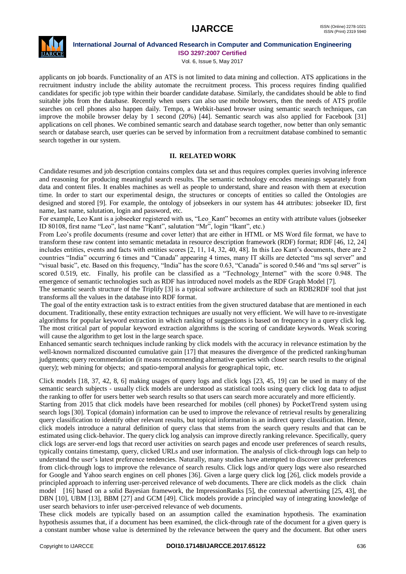

## **International Journal of Advanced Research in Computer and Communication Engineering**

**ISO 3297:2007 Certified**

Vol. 6, Issue 5, May 2017

applicants on job boards. Functionality of an ATS is not limited to data mining and collection. ATS applications in the recruitment industry include the ability automate the recruitment process. This process requires finding qualified candidates for specific job type within their boarder candidate database. Similarly, the candidates should be able to find suitable jobs from the database. Recently when users can also use mobile browsers, then the needs of ATS profile searches on cell phones also happen daily. Tempo, a Webkit-based browser using semantic search techniques, can improve the mobile browser delay by 1 second (20%) [44]. Semantic search was also applied for Facebook [31] applications on cell phones. We combined semantic search and database search together, now better than only semantic search or database search, user queries can be served by information from a recruitment database combined to semantic search together in our system.

### **II. RELATED WORK**

Candidate resumes and job description contains complex data set and thus requires complex queries involving inference and reasoning for producing meaningful search results. The semantic technology encodes meanings separately from data and content files. It enables machines as well as people to understand, share and reason with them at execution time. In order to start our experimental design, the structures or concepts of entities so called the Ontologies are designed and stored [9]. For example, the ontology of jobseekers in our system has 44 attributes: jobseeker ID, first name, last name, salutation, login and password, etc.

For example, Leo Kant is a jobseeker registered with us, "Leo\_Kant" becomes an entity with attribute values (jobseeker ID 80108, first name "Leo", last name "Kant", salutation "Mr", login "lkant", etc.)

From Leo"s profile documents (resume and cover letter) that are either in HTML or MS Word file format, we have to transform these raw content into semantic metadata in resource description framework (RDF) format; RDF [46, 12, 24] includes entities, events and facts with entities scores [2, 11, 14, 32, 40, 48]. In this Leo Kant"s documents, there are 2 countries "India" occurring 6 times and "Canada" appearing 4 times, many IT skills are detected "ms sql server" and "visual basic", etc. Based on this frequency, "India" has the score 0.63, "Canada" is scored 0.546 and "ms sql server" is scored 0.519, etc. Finally, his profile can be classified as a "Technology Internet" with the score 0.948. The emergence of semantic technologies such as RDF has introduced novel models as the RDF Graph Model [7].

The semantic search structure of the Triplify [3] is a typical software architecture of such an RDB2RDF tool that just transforms all the values in the database into RDF format.

The goal of the entity extraction task is to extract entities from the given structured database that are mentioned in each document. Traditionally, these entity extraction techniques are usually not very efficient. We will have to re-investigate algorithms for popular keyword extraction in which ranking of suggestions is based on frequency in a query click log. The most critical part of popular keyword extraction algorithms is the scoring of candidate keywords. Weak scoring will cause the algorithm to get lost in the large search space.

Enhanced semantic search techniques include ranking by click models with the accuracy in relevance estimation by the well-known normalized discounted cumulative gain [17] that measures the divergence of the predicted ranking/human judgments; query recommendation (it means recommending alternative queries with closer search results to the original query); web mining for objects; and spatio-temporal analysis for geographical topic, etc.

Click models [18, 37, 42, 8, 6] making usages of query logs and click logs [23, 45, 19] can be used in many of the semantic search subjects - usually click models are understood as statistical tools using query click log data to adjust the ranking to offer for users better web search results so that users can search more accurately and more efficiently.

Starting from 2015 that click models have been researched for mobiles (cell phones) by PocketTrend system using search logs [30]. Topical (domain) information can be used to improve the relevance of retrieval results by generalizing query classification to identify other relevant results, but topical information is an indirect query classification. Hence, click models introduce a natural definition of query class that stems from the search query results and that can be estimated using click-behavior. The query click log analysis can improve directly ranking relevance. Specifically, query click logs are server-end logs that record user activities on search pages and encode user preferences of search results, typically contains timestamp, query, clicked URLs and user information. The analysis of click-through logs can help to understand the user"s latest preference tendencies. Naturally, many studies have attempted to discover user preferences from click-through logs to improve the relevance of search results. Click logs and/or query logs were also researched for Google and Yahoo search engines on cell phones [36]. Given a large query click log [26], click models provide a principled approach to inferring user-perceived relevance of web documents. There are click models as the click chain model [16] based on a solid Bayesian framework, the ImpressionRanks [5], the contextual advertising [25, 43], the DBN [10], UBM [13], BBM [27] and GCM [49]. Click models provide a principled way of integrating knowledge of user search behaviors to infer user-perceived relevance of web documents.

These click models are typically based on an assumption called the examination hypothesis. The examination hypothesis assumes that, if a document has been examined, the click-through rate of the document for a given query is a constant number whose value is determined by the relevance between the query and the document. But other users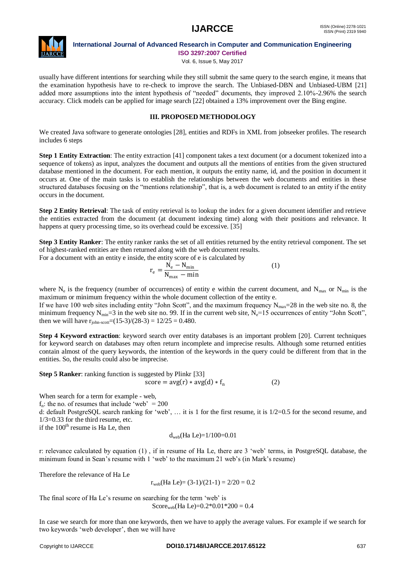

# **International Journal of Advanced Research in Computer and Communication Engineering**

**ISO 3297:2007 Certified**

Vol. 6, Issue 5, May 2017

usually have different intentions for searching while they still submit the same query to the search engine, it means that the examination hypothesis have to re-check to improve the search. The Unbiased-DBN and Unbiased-UBM [21] added more assumptions into the intent hypothesis of "needed" documents, they improved 2.10%-2.96% the search accuracy. Click models can be applied for image search [22] obtained a 13% improvement over the Bing engine.

### **III. PROPOSED METHODOLOGY**

We created Java software to generate ontologies [28], entities and RDFs in XML from jobseeker profiles. The research includes 6 steps

**Step 1 Entity Extraction**: The entity extraction [41] component takes a text document (or a document tokenized into a sequence of tokens) as input, analyzes the document and outputs all the mentions of entities from the given structured database mentioned in the document. For each mention, it outputs the entity name, id, and the position in document it occurs at. One of the main tasks is to establish the relationships between the web documents and entities in these structured databases focusing on the "mentions relationship", that is, a web document is related to an entity if the entity occurs in the document.

**Step 2 Entity Retrieval**: The task of entity retrieval is to lookup the index for a given document identifier and retrieve the entities extracted from the document (at document indexing time) along with their positions and relevance. It happens at query processing time, so its overhead could be excessive. [35]

**Step 3 Entity Ranker**: The entity ranker ranks the set of all entities returned by the entity retrieval component. The set of highest-ranked entities are then returned along with the web document results.

For a document with an entity e inside, the entity score of e is calculated by

$$
r_e = \frac{N_e - N_{min}}{N_{max} - min}
$$
 (1)

where  $N_e$  is the frequency (number of occurrences) of entity e within the current document, and  $N_{max}$  or  $N_{min}$  is the maximum or minimum frequency within the whole document collection of the entity e.

If we have 100 web sites including entity "John Scott", and the maximum frequency  $N_{\text{max}}=28$  in the web site no. 8, the minimum frequency  $N_{\text{min}}=3$  in the web site no. 99. If in the current web site,  $N_e=15$  occurrences of entity "John Scott", then we will have  $r_{\text{john-scott}} = (15-3)/(28-3) = 12/25 = 0.480$ .

**Step 4 Keyword extraction**: keyword search over entity databases is an important problem [20]. Current techniques for keyword search on databases may often return incomplete and imprecise results. Although some returned entities contain almost of the query keywords, the intention of the keywords in the query could be different from that in the entities. So, the results could also be imprecise.

**Step 5 Ranker**: ranking function is suggested by Plinkr [33]  $score = avg(r) * avg(d) * f_n$ (2)

When search for a term for example - web,

 $f_n$ : the no. of resumes that include 'web' = 200

d: default PostgreSQL search ranking for 'web', ... it is 1 for the first resume, it is 1/2=0.5 for the second resume, and 1/3=0.33 for the third resume, etc.

if the  $100<sup>th</sup>$  resume is Ha Le, then

$$
d_{web}(Ha Le)=1/100=0.01
$$

r: relevance calculated by equation (1) , if in resume of Ha Le, there are 3 "web" terms, in PostgreSQL database, the minimum found in Sean's resume with 1 'web' to the maximum 21 web's (in Mark's resume)

Therefore the relevance of Ha Le

 $r_{web}(Ha Le) = (3-1)/(21-1) = 2/20 = 0.2$ 

The final score of Ha Le's resume on searching for the term 'web' is Score<sub>web</sub>(Ha Le)= $0.2*0.01*200 = 0.4$ 

In case we search for more than one keywords, then we have to apply the average values. For example if we search for two keywords "web developer", then we will have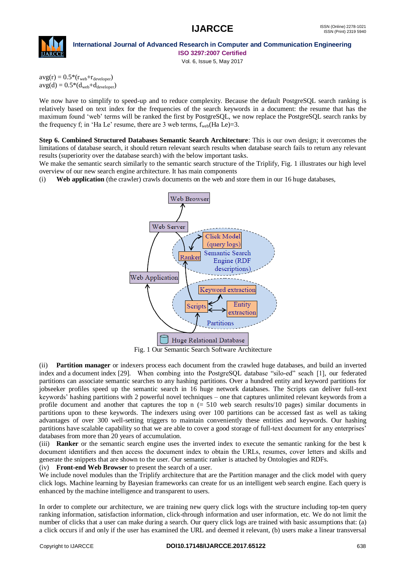



Vol. 6, Issue 5, May 2017

 $avg(r) = 0.5*(r_{web}+r_{developer})$  $avg(d) = 0.5*(d_{web}+d_{develope})$ 

We now have to simplify to speed-up and to reduce complexity. Because the default PostgreSQL search ranking is relatively based on text index for the frequencies of the search keywords in a document: the resume that has the maximum found "web" terms will be ranked the first by PostgreSQL, we now replace the PostgreSQL search ranks by the frequency f; in 'Ha Le' resume, there are 3 web terms,  $f_{web}(Ha Le)=3$ .

**Step 6. Combined Structured Databases Semantic Search Architecture**: This is our own design; it overcomes the limitations of database search, it should return relevant search results when database search fails to return any relevant results (superiority over the database search) with the below important tasks.

We make the semantic search similarly to the semantic search structure of the Triplify, Fig. 1 illustrates our high level overview of our new search engine architecture. It has main components

(i) **Web application** (the crawler) crawls documents on the web and store them in our 16 huge databases,



Fig. 1 Our Semantic Search Software Architecture

(ii) **Partition manager** or indexers process each document from the crawled huge databases, and build an inverted index and a document index [29]. When combing into the PostgreSQL database "silo-ed" seach [1], our federated partitions can associate semantic searches to any hashing partitions. Over a hundred entity and keyword partitions for jobseeker profiles speed up the semantic search in 16 huge network databases. The Scripts can deliver full-text keywords" hashing partitions with 2 powerful novel techniques – one that captures unlimited relevant keywords from a profile document and another that captures the top n (= 510 web search results/10 pages) similar documents in partitions upon to these keywords. The indexers using over 100 partitions can be accessed fast as well as taking advantages of over 300 well-setting triggers to maintain conveniently these entities and keywords. Our hashing partitions have scalable capability so that we are able to cover a good storage of full-text document for any enterprises' databases from more than 20 years of accumulation.

(iii) **Ranker** or the semantic search engine uses the inverted index to execute the semantic ranking for the best k document identifiers and then access the document index to obtain the URLs, resumes, cover letters and skills and generate the snippets that are shown to the user. Our semantic ranker is attached by Ontologies and RDFs.

(iv) **Front-end Web Browser** to present the search of a user.

We include novel modules than the Triplify architecture that are the Partition manager and the click model with query click logs. Machine learning by Bayesian frameworks can create for us an intelligent web search engine. Each query is enhanced by the machine intelligence and transparent to users.

In order to complete our architecture, we are training new query click logs with the structure including top-ten query ranking information, satisfaction information, click-through information and user information, etc. We do not limit the number of clicks that a user can make during a search. Our query click logs are trained with basic assumptions that: (a) a click occurs if and only if the user has examined the URL and deemed it relevant, (b) users make a linear transversal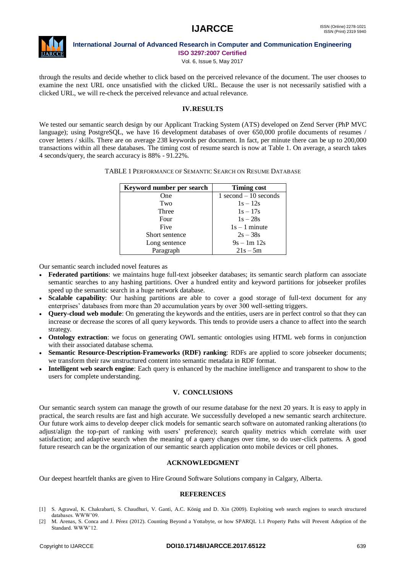

Vol. 6, Issue 5, May 2017

through the results and decide whether to click based on the perceived relevance of the document. The user chooses to examine the next URL once unsatisfied with the clicked URL. Because the user is not necessarily satisfied with a clicked URL, we will re-check the perceived relevance and actual relevance.

### **IV.RESULTS**

We tested our semantic search design by our Applicant Tracking System (ATS) developed on Zend Server (PhP MVC language); using PostgreSQL, we have 16 development databases of over 650,000 profile documents of resumes / cover letters / skills. There are on average 238 keywords per document. In fact, per minute there can be up to 200,000 transactions within all these databases. The timing cost of resume search is now at Table 1. On average, a search takes 4 seconds/query, the search accuracy is 88% - 91.22%.

| Keyword number per search | <b>Timing cost</b>       |
|---------------------------|--------------------------|
| One                       | $1$ second $-10$ seconds |
| Two                       | $1s - 12s$               |
| Three                     | $1s - 17s$               |
| Four                      | $1s - 28s$               |
| Five                      | $1s - 1$ minute          |
| Short sentence            | $2s - 38s$               |
| Long sentence             | $9s - 1m 12s$            |
| Paragraph                 | $21s - 5m$               |

Our semantic search included novel features as

- **Federated partitions**: we maintains huge full-text jobseeker databases; its semantic search platform can associate semantic searches to any hashing partitions. Over a hundred entity and keyword partitions for jobseeker profiles speed up the semantic search in a huge network database.
- **Scalable capability**: Our hashing partitions are able to cover a good storage of full-text document for any enterprises" databases from more than 20 accumulation years by over 300 well-setting triggers.
- **Query-cloud web module**: On generating the keywords and the entities, users are in perfect control so that they can increase or decrease the scores of all query keywords. This tends to provide users a chance to affect into the search strategy.
- **Ontology extraction**: we focus on generating OWL semantic ontologies using HTML web forms in conjunction with their associated database schema.
- **Semantic Resource-Description-Frameworks (RDF) ranking**: RDFs are applied to score jobseeker documents; we transform their raw unstructured content into semantic metadata in RDF format.
- **Intelligent web search engine**: Each query is enhanced by the machine intelligence and transparent to show to the users for complete understanding.

### **V. CONCLUSIONS**

Our semantic search system can manage the growth of our resume database for the next 20 years. It is easy to apply in practical, the search results are fast and high accurate. We successfully developed a new semantic search architecture. Our future work aims to develop deeper click models for semantic search software on automated ranking alterations (to adjust/align the top-part of ranking with users" preference); search quality metrics which correlate with user satisfaction; and adaptive search when the meaning of a query changes over time, so do user-click patterns. A good future research can be the organization of our semantic search application onto mobile devices or cell phones.

### **ACKNOWLEDGMENT**

Our deepest heartfelt thanks are given to Hire Ground Software Solutions company in Calgary, Alberta.

### **REFERENCES**

- [1] S. Agrawal, K. Chakrabarti, S. Chaudhuri, V. Ganti, A.C. König and D. Xin (2009). Exploiting web search engines to search structured databases. WWW"09.
- [2] M. Arenas, S. Conca and J. Pérez (2012). Counting Beyond a Yottabyte, or how SPARQL 1.1 Property Paths will Prevent Adoption of the Standard. WWW"12.